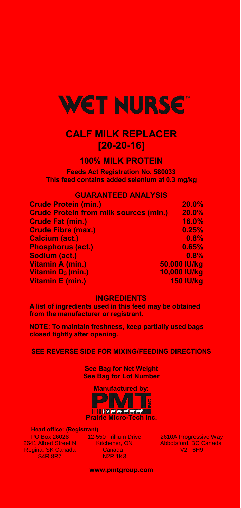

# **CALF MILK REPLACER [20-20-16]**

## **100% MILK PROTEIN**

**Feeds Act Registration No. 580033 This feed contains added selenium at 0.3 mg/kg** 

### **GUARANTEED ANALYSIS**

| <b>Crude Protein (min.)</b>                   | 20.0%            |
|-----------------------------------------------|------------------|
| <b>Crude Protein from milk sources (min.)</b> | 20.0%            |
| <b>Crude Fat (min.)</b>                       | 16.0%            |
| <b>Crude Fibre (max.)</b>                     | 0.25%            |
| <b>Calcium (act.)</b>                         | 0.8%             |
| <b>Phosphorus (act.)</b>                      | 0.65%            |
| Sodium (act.)                                 | 0.8%             |
| Vitamin A (min.)                              | 50,000 IU/kg     |
| Vitamin $D_3$ (min.)                          | 10,000 IU/kg     |
| <b>Vitamin E (min.)</b>                       | <b>150 IU/kg</b> |

### **INGREDIENTS**

**A list of ingredients used in this feed may be obtained from the manufacturer or registrant.** 

**NOTE: To maintain freshness, keep partially used bags closed tightly after opening.** 

**SEE REVERSE SIDE FOR MIXING/FEEDING DIRECTIONS** 

**See Bag for Net Weight See Bag for Lot Number** 

**Manufactured by: IIIII**VM**MMM Prairie Micro-Tech Inc.** 

**Head office: (Registrant)** 

PO Box 26028 2641 Albert Street N Regina, SK Canada S4R 8R7

12-550 Trillium Drive Kitchener, ON **Canada** N2R 1K3

2610A Progressive Way Abbotsford, BC Canada V2T 6H9

**[www.pmtgroup.com](http://www.pmtgroup.com/)**